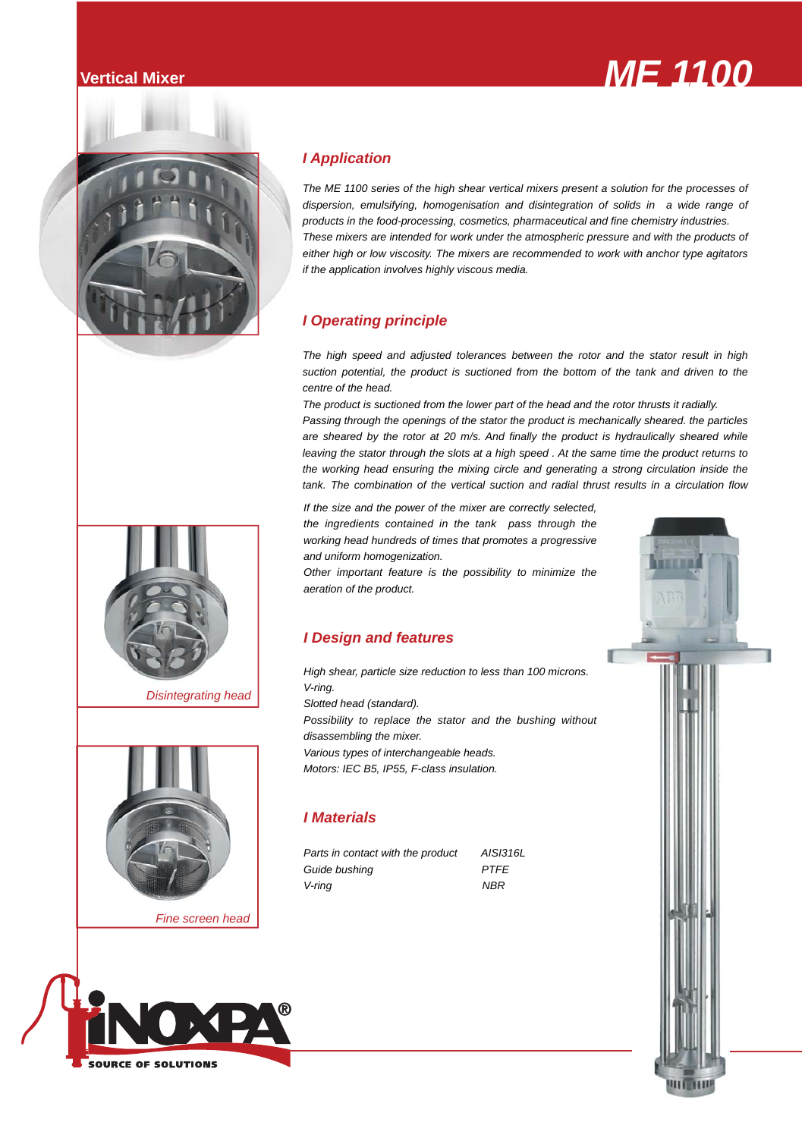## **Vertical Mixer** *ME 1100 MS*



### *I Application*

*The ME 1100 series of the high shear vertical mixers present a solution for the processes of dispersion, emulsifying, homogenisation and disintegration of solids in a wide range of products in the food-processing, cosmetics, pharmaceutical and fine chemistry industries. These mixers are intended for work under the atmospheric pressure and with the products of either high or low viscosity. The mixers are recommended to work with anchor type agitators if the application involves highly viscous media.*

## *I Operating principle*

*The high speed and adjusted tolerances between the rotor and the stator result in high suction potential, the product is suctioned from the bottom of the tank and driven to the centre of the head.* 

*The product is suctioned from the lower part of the head and the rotor thrusts it radially. Passing through the openings of the stator the product is mechanically sheared. the particles are sheared by the rotor at 20 m/s. And finally the product is hydraulically sheared while leaving the stator through the slots at a high speed . At the same time the product returns to the working head ensuring the mixing circle and generating a strong circulation inside the tank. The combination of the vertical suction and radial thrust results in a circulation flow* 

*If the size and the power of the mixer are correctly selected, the ingredients contained in the tank pass through the working head hundreds of times that promotes a progressive and uniform homogenization.* 

*Other important feature is the possibility to minimize the aeration of the product.*

## *I Design and features*

*High shear, particle size reduction to less than 100 microns. V-ring. Slotted head (standard). Possibility to replace the stator and the bushing without disassembling the mixer. Various types of interchangeable heads. Motors: IEC B5, IP55, F-class insulation.*

## *I Materials*

*Parts in contact with the product AISI316L Guide bushing PTFE V-ring NBR*





*Disintegrating head*



*Fine screen head*